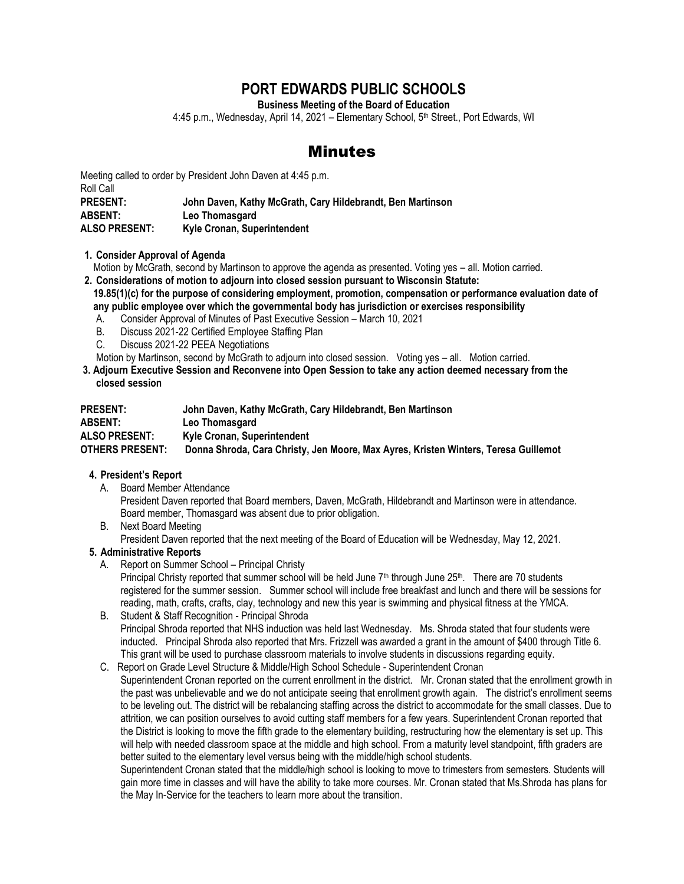# **PORT EDWARDS PUBLIC SCHOOLS**

**Business Meeting of the Board of Education**

4:45 p.m., Wednesday, April 14, 2021 – Elementary School, 5<sup>th</sup> Street., Port Edwards, WI

# Minutes

Meeting called to order by President John Daven at 4:45 p.m. Roll Call **PRESENT: John Daven, Kathy McGrath, Cary Hildebrandt, Ben Martinson ABSENT: Leo Thomasgard ALSO PRESENT: Kyle Cronan, Superintendent**

**1. Consider Approval of Agenda**

Motion by McGrath, second by Martinson to approve the agenda as presented. Voting yes – all. Motion carried.

- **2. Considerations of motion to adjourn into closed session pursuant to Wisconsin Statute: 19.85(1)(c) for the purpose of considering employment, promotion, compensation or performance evaluation date of any public employee over which the governmental body has jurisdiction or exercises responsibility** 
	- A. Consider Approval of Minutes of Past Executive Session March 10, 2021
	- B. Discuss 2021-22 Certified Employee Staffing Plan
	- C. Discuss 2021-22 PEEA Negotiations

Motion by Martinson, second by McGrath to adjourn into closed session. Voting yes – all. Motion carried.

**3. Adjourn Executive Session and Reconvene into Open Session to take any action deemed necessary from the closed session**

| <b>PRESENT:</b>        | John Daven, Kathy McGrath, Cary Hildebrandt, Ben Martinson                          |
|------------------------|-------------------------------------------------------------------------------------|
| <b>ABSENT:</b>         | Leo Thomasgard                                                                      |
| <b>ALSO PRESENT:</b>   | Kyle Cronan, Superintendent                                                         |
| <b>OTHERS PRESENT:</b> | Donna Shroda, Cara Christy, Jen Moore, Max Ayres, Kristen Winters, Teresa Guillemot |

### **4. President's Report**

- A. Board Member Attendance President Daven reported that Board members, Daven, McGrath, Hildebrandt and Martinson were in attendance. Board member, Thomasgard was absent due to prior obligation.
- B. Next Board Meeting

President Daven reported that the next meeting of the Board of Education will be Wednesday, May 12, 2021.

### **5. Administrative Reports**

A. Report on Summer School – Principal Christy

Principal Christy reported that summer school will be held June 7<sup>th</sup> through June 25<sup>th</sup>. There are 70 students registered for the summer session. Summer school will include free breakfast and lunch and there will be sessions for reading, math, crafts, crafts, clay, technology and new this year is swimming and physical fitness at the YMCA.

- B. Student & Staff Recognition Principal Shroda Principal Shroda reported that NHS induction was held last Wednesday. Ms. Shroda stated that four students were inducted. Principal Shroda also reported that Mrs. Frizzell was awarded a grant in the amount of \$400 through Title 6. This grant will be used to purchase classroom materials to involve students in discussions regarding equity.
- C. Report on Grade Level Structure & Middle/High School Schedule Superintendent Cronan Superintendent Cronan reported on the current enrollment in the district. Mr. Cronan stated that the enrollment growth in the past was unbelievable and we do not anticipate seeing that enrollment growth again. The district's enrollment seems to be leveling out. The district will be rebalancing staffing across the district to accommodate for the small classes. Due to attrition, we can position ourselves to avoid cutting staff members for a few years. Superintendent Cronan reported that the District is looking to move the fifth grade to the elementary building, restructuring how the elementary is set up. This will help with needed classroom space at the middle and high school. From a maturity level standpoint, fifth graders are better suited to the elementary level versus being with the middle/high school students.

Superintendent Cronan stated that the middle/high school is looking to move to trimesters from semesters. Students will gain more time in classes and will have the ability to take more courses. Mr. Cronan stated that Ms.Shroda has plans for the May In-Service for the teachers to learn more about the transition.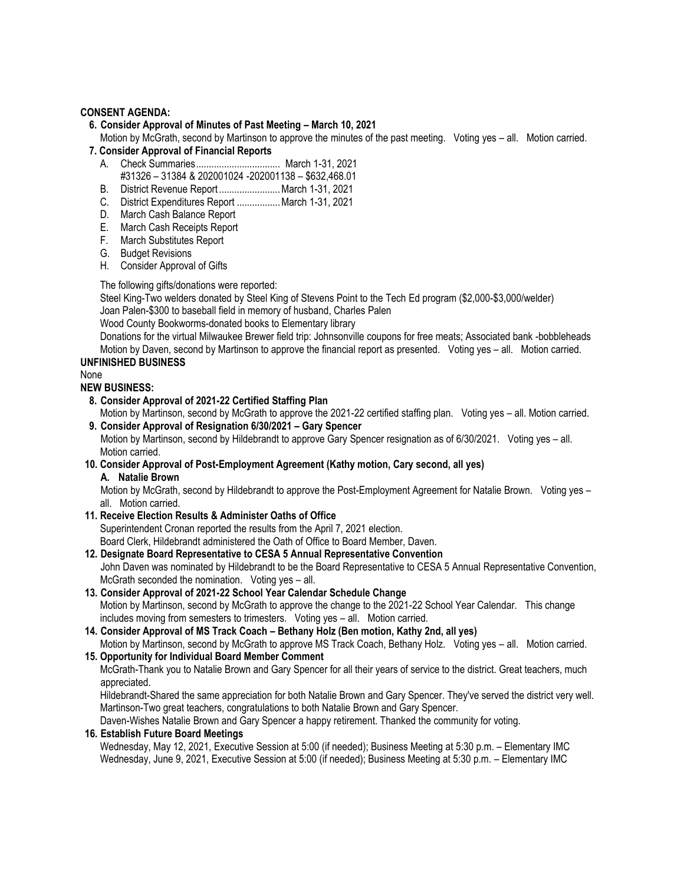### **CONSENT AGENDA:**

#### **6. Consider Approval of Minutes of Past Meeting – March 10, 2021**

Motion by McGrath, second by Martinson to approve the minutes of the past meeting. Voting yes – all. Motion carried.  **7. Consider Approval of Financial Reports** 

- - A. Check Summaries................................. March 1-31, 2021 #31326 – 31384 & 202001024 -202001138 – \$632,468.01
	- B. District Revenue Report ........................March 1-31, 2021
	- C. District Expenditures Report .................March 1-31, 2021
	- D. March Cash Balance Report
	- E. March Cash Receipts Report
	- F. March Substitutes Report
	- G. Budget Revisions
	- H. Consider Approval of Gifts

The following gifts/donations were reported:

Steel King-Two welders donated by Steel King of Stevens Point to the Tech Ed program (\$2,000-\$3,000/welder) Joan Palen-\$300 to baseball field in memory of husband, Charles Palen

Wood County Bookworms-donated books to Elementary library

Donations for the virtual Milwaukee Brewer field trip: Johnsonville coupons for free meats; Associated bank -bobbleheads Motion by Daven, second by Martinson to approve the financial report as presented. Voting yes – all. Motion carried.

#### **UNFINISHED BUSINESS**

None

#### **NEW BUSINESS:**

 **8. Consider Approval of 2021-22 Certified Staffing Plan**

Motion by Martinson, second by McGrath to approve the 2021-22 certified staffing plan. Voting yes – all. Motion carried.  **9. Consider Approval of Resignation 6/30/2021 – Gary Spencer** 

Motion by Martinson, second by Hildebrandt to approve Gary Spencer resignation as of 6/30/2021. Voting yes – all. Motion carried.

**10. Consider Approval of Post-Employment Agreement (Kathy motion, Cary second, all yes) A. Natalie Brown**

Motion by McGrath, second by Hildebrandt to approve the Post-Employment Agreement for Natalie Brown. Voting yes all. Motion carried.

**11. Receive Election Results & Administer Oaths of Office** 

Superintendent Cronan reported the results from the April 7, 2021 election.

Board Clerk, Hildebrandt administered the Oath of Office to Board Member, Daven.

**12. Designate Board Representative to CESA 5 Annual Representative Convention** 

John Daven was nominated by Hildebrandt to be the Board Representative to CESA 5 Annual Representative Convention, McGrath seconded the nomination. Voting yes – all.

- **13. Consider Approval of 2021-22 School Year Calendar Schedule Change**  Motion by Martinson, second by McGrath to approve the change to the 2021-22 School Year Calendar. This change includes moving from semesters to trimesters. Voting yes – all. Motion carried.
- **14. Consider Approval of MS Track Coach – Bethany Holz (Ben motion, Kathy 2nd, all yes)** Motion by Martinson, second by McGrath to approve MS Track Coach, Bethany Holz. Voting yes – all. Motion carried.

#### **15. Opportunity for Individual Board Member Comment**

McGrath-Thank you to Natalie Brown and Gary Spencer for all their years of service to the district. Great teachers, much appreciated.

Hildebrandt-Shared the same appreciation for both Natalie Brown and Gary Spencer. They've served the district very well. Martinson-Two great teachers, congratulations to both Natalie Brown and Gary Spencer.

Daven-Wishes Natalie Brown and Gary Spencer a happy retirement. Thanked the community for voting.

#### **16. Establish Future Board Meetings**

Wednesday, May 12, 2021, Executive Session at 5:00 (if needed); Business Meeting at 5:30 p.m. – Elementary IMC Wednesday, June 9, 2021, Executive Session at 5:00 (if needed); Business Meeting at 5:30 p.m. – Elementary IMC